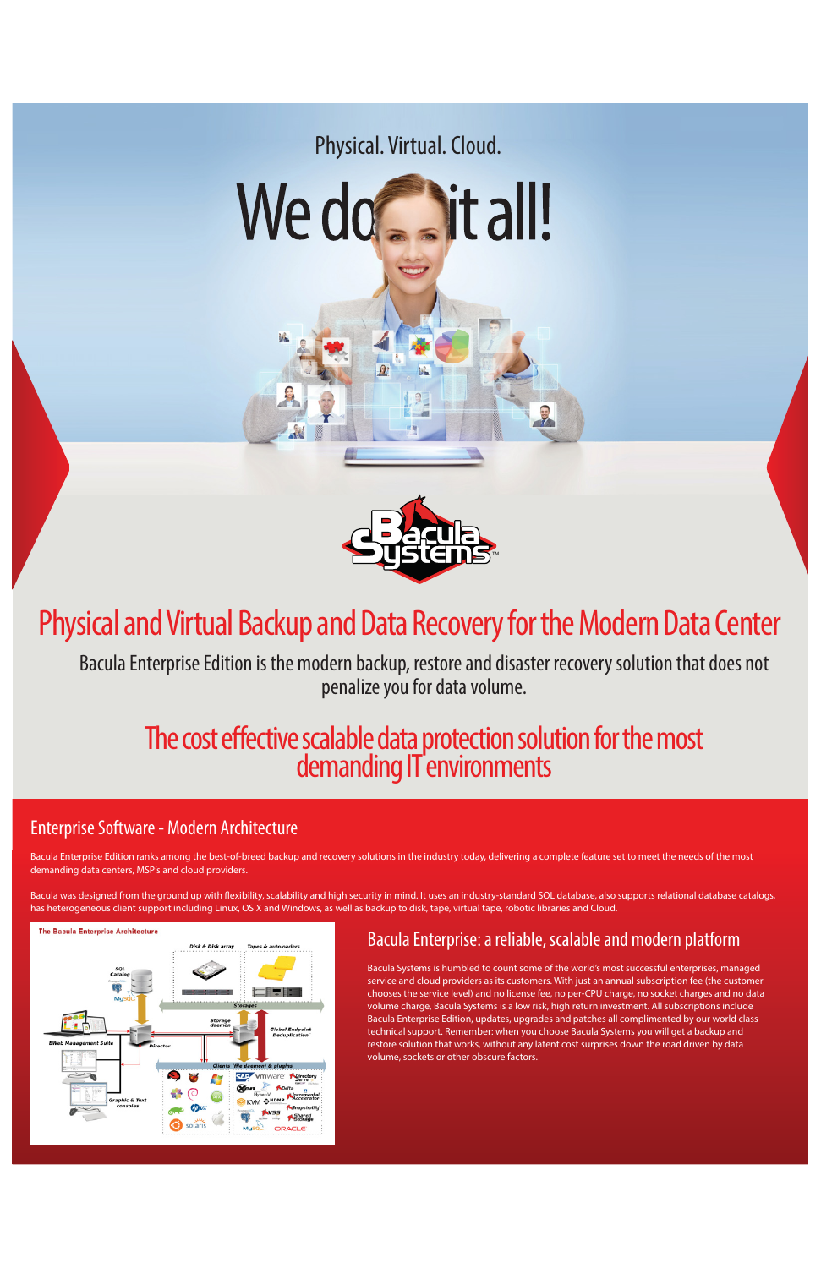# The cost effective scalable data protection solution for the most demanding IT environments

# Physical and Virtual Backup and Data Recovery for the Modern Data Center



Bacula Enterprise Edition is the modern backup, restore and disaster recovery solution that does not penalize you for data volume.

### Bacula Enterprise: a reliable, scalable and modern platform

Bacula Systems is humbled to count some of the world's most successful enterprises, managed service and cloud providers as its customers. With just an annual subscription fee (the customer chooses the service level) and no license fee, no per-CPU charge, no socket charges and no data volume charge, Bacula Systems is a low risk, high return investment. All subscriptions include Bacula Enterprise Edition, updates, upgrades and patches all complimented by our world class technical support. Remember: when you choose Bacula Systems you will get a backup and restore solution that works, without any latent cost surprises down the road driven by data volume, sockets or other obscure factors.

Bacula was designed from the ground up with flexibility, scalability and high security in mind. It uses an industry-standard SQL database, also supports relational database catalogs, has heterogeneous client support including Linux, OS X and Windows, as well as backup to disk, tape, virtual tape, robotic libraries and Cloud.



### Enterprise Software - Modern Architecture

Bacula Enterprise Edition ranks among the best-of-breed backup and recovery solutions in the industry today, delivering a complete feature set to meet the needs of the most demanding data centers, MSP's and cloud providers.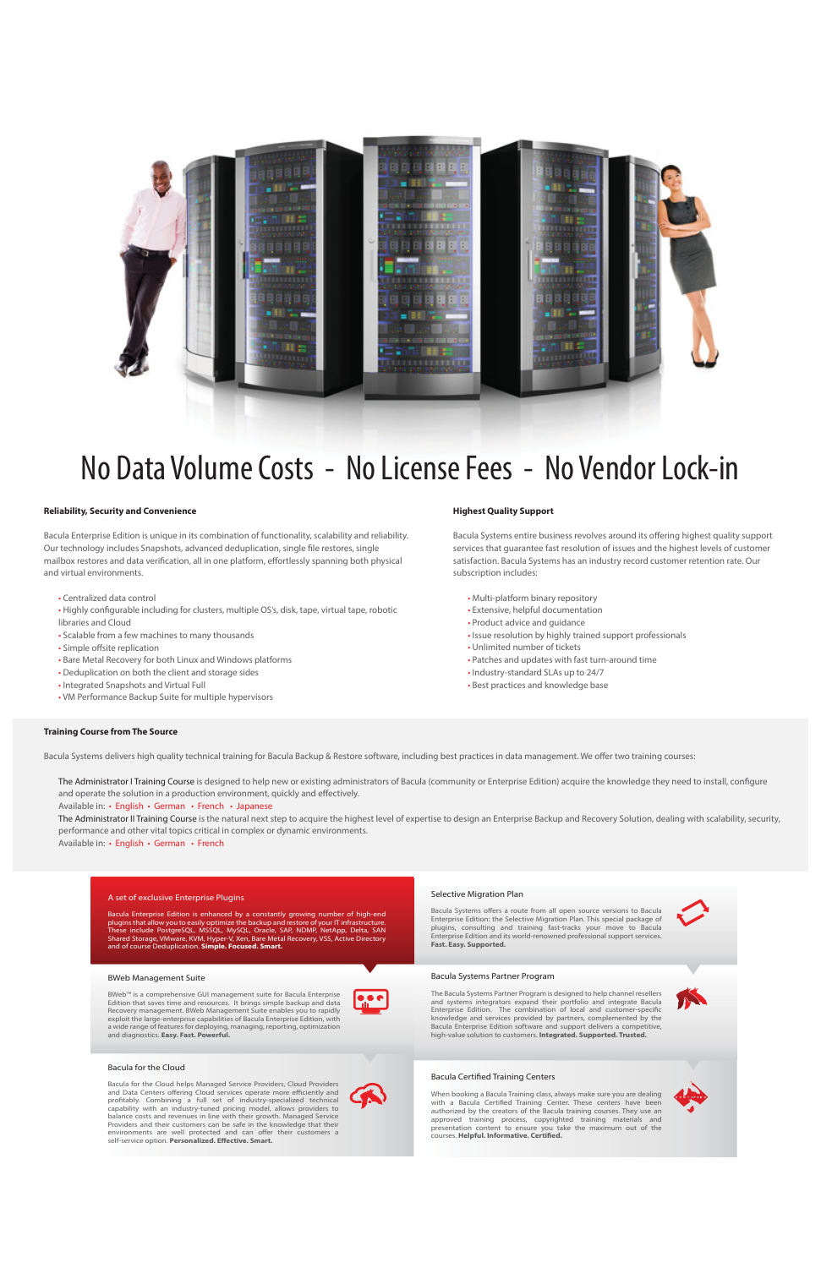#### **Reliability, Security and Convenience**

Bacula Enterprise Edition is unique in its combination of functionality, scalability and reliability. Our technology includes Snapshots, advanced deduplication, single file restores, single mailbox restores and data verification, all in one platform, effortlessly spanning both physical and virtual environments.

- Centralized data control
- Highly configurable including for clusters, multiple OS's, disk, tape, virtual tape, robotic libraries and Cloud
- Scalable from a few machines to many thousands
- Simple offsite replication
- Bare Metal Recovery for both Linux and Windows platforms
- Deduplication on both the client and storage sides
- Integrated Snapshots and Virtual Full
- VM Performance Backup Suite for multiple hypervisors

#### **Highest Quality Support**

The Administrator I Training Course is designed to help new or existing administrators of Bacula (community or Enterprise Edition) acquire the knowledge they need to install, configure and operate the solution in a production environment, quickly and effectively.

Bacula Systems entire business revolves around its offering highest quality support services that guarantee fast resolution of issues and the highest levels of customer satisfaction. Bacula Systems has an industry record customer retention rate. Our subscription includes:

The Administrator II Training Course is the natural next step to acquire the highest level of expertise to design an Enterprise Backup and Recovery Solution, dealing with scalability, security, performance and other vital topics critical in complex or dynamic environments.

- Multi-platform binary repository
- Extensive, helpful documentation
- Product advice and guidance
- Issue resolution by highly trained support professionals
- Unlimited number of tickets
- Patches and updates with fast turn-around time
- Industry-standard SLAs up to 24/7
- Best practices and knowledge base

#### **Training Course from The Source**

Bacula Systems delivers high quality technical training for Bacula Backup & Restore software, including best practices in data management. We offer two training courses:

Available in: • English • German • French • Japanese

Available in: • English • German • French



# No Data Volume Costs - No License Fees - No Vendor Lock-in

#### Bacula Systems Partner Program

Bacula Enterprise Edition is enhanced by a constantly growing number of high-end<br>plugins that allow you to easily optimize the backup and restore of your IT infrastructure. plugins that allow you to easily optimize the backup and restore of<br>These include. PostgreSOL MSSOL, MySOL, Oracle. SAP, NDMP These include PostgreSQL, MSSQL, MySQL, Oracle, SAP, NDMP, NetApp, Delta, SAN Shared Storage, VMware, KVM, Hyper-V, Xen, Bare Metal Recovery, VSS, Active Directory and of course Deduplication. **Simple. Focused. Smart.**

> The Bacula Systems Partner Program is designed to help channel resellers and systems integrators expand their portfolio and integrate Bacula Enterprise Edition. The combination of local and customer-specific knowledge and services provided by partners, complemented by the Bacula Enterprise Edition software and support delivers a competitive, high-value solution to customers. **Integrated. Supported. Trusted.**

#### Bacula Certified Training Centers

When booking a Bacula Training class, always make sure you are dealing with a Bacula Certified Training Center. These centers have been authorized by the creators of the Bacula training courses. They use an approved training process, copyrighted training materials and presentation content to ensure you take the maximum out of the courses. **Helpful. Informative. Certified.**



#### Selective Migration Plan

Bacula Systems offers a route from all open source versions to Bacula Enterprise Edition: the Selective Migration Plan. This special package of



plugins, consulting and training fast-tracks your move to Bacula Enterprise Edition and its world-renowned professional support services. **Fast. Easy. Supported.**

#### BWeb Management Suite

BWeb™ is a comprehensive GUI management suite for Bacula Enterprise Edition that saves time and resources. It brings simple backup and data Recovery management. BWeb Management Suite enables you to rapidly exploit the large-enterprise capabilities of Bacula Enterprise Edition, with a wide range of features for deploying, managing, reporting, optimization and diagnostics. **Easy. Fast. Powerful.**



#### Bacula for the Cloud

Bacula for the Cloud helps Managed Service Providers, Cloud Providers and Data Centers offering Cloud services operate more efficiently and profitably. Combining a full set of industry-specialized technical capability with an industry-tuned pricing model, allows providers to balance costs and revenues in line with their growth. Managed Service Providers and their customers can be safe in the knowledge that their environments are well protected and can offer their customers a self-service option. **Personalized. Effective. Smart.**



#### A set of exclusive Enterprise Plugins